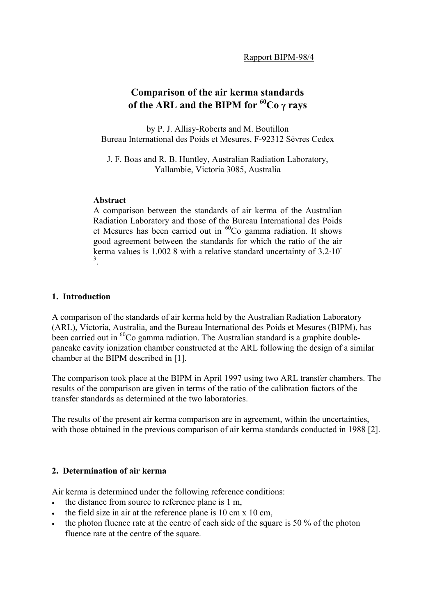# **Comparison of the air kerma standards of the ARL and the BIPM for 60Co** γ **rays**

by P. J. Allisy-Roberts and M. Boutillon Bureau International des Poids et Mesures, F-92312 Sèvres Cedex

J. F. Boas and R. B. Huntley, Australian Radiation Laboratory, Yallambie, Victoria 3085, Australia

### **Abstract**

A comparison between the standards of air kerma of the Australian Radiation Laboratory and those of the Bureau International des Poids et Mesures has been carried out in 60Co gamma radiation. It shows good agreement between the standards for which the ratio of the air kerma values is 1.002 8 with a relative standard uncertainty of 3.2·10- 3 .

### **1. Introduction**

A comparison of the standards of air kerma held by the Australian Radiation Laboratory (ARL), Victoria, Australia, and the Bureau International des Poids et Mesures (BIPM), has been carried out in  ${}^{60}Co$  gamma radiation. The Australian standard is a graphite doublepancake cavity ionization chamber constructed at the ARL following the design of a similar chamber at the BIPM described in [1].

The comparison took place at the BIPM in April 1997 using two ARL transfer chambers. The results of the comparison are given in terms of the ratio of the calibration factors of the transfer standards as determined at the two laboratories.

The results of the present air kerma comparison are in agreement, within the uncertainties, with those obtained in the previous comparison of air kerma standards conducted in 1988 [2].

## **2. Determination of air kerma**

Air kerma is determined under the following reference conditions:

- the distance from source to reference plane is 1 m,
- the field size in air at the reference plane is 10 cm x 10 cm,
- the photon fluence rate at the centre of each side of the square is 50 % of the photon fluence rate at the centre of the square.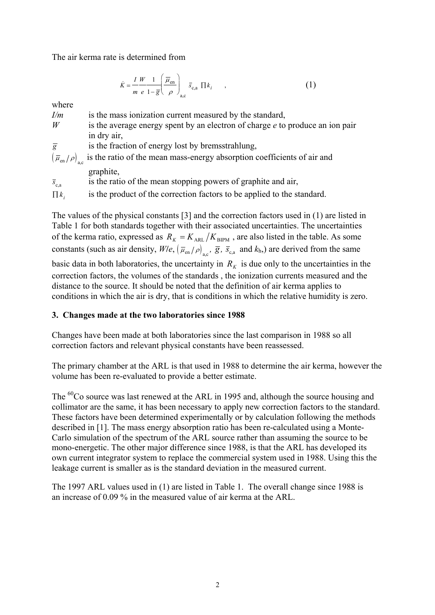The air kerma rate is determined from

$$
\dot{K} = \frac{I W}{m e} \frac{1}{1 - \overline{g}} \left( \frac{\overline{\mu}_{en}}{\rho} \right)_{a,c} \overline{s}_{c,a} \prod k_{i} , \qquad , \qquad (1)
$$

where

- *I/m* is the mass ionization current measured by the standard,
- *W* is the average energy spent by an electron of charge *e* to produce an ion pair in dry air,
- $\overline{g}$  is the fraction of energy lost by bremsstrahlung,
- $(\overline{\mu}_{en}/\rho)_{ac}$  is the ratio of the mean mass-energy absorption coefficients of air and graphite,

 $\bar{s}_{\text{ca}}$  is the ratio of the mean stopping powers of graphite and air,

 $\prod k_i$  is the product of the correction factors to be applied to the standard.

The values of the physical constants [3] and the correction factors used in (1) are listed in Table 1 for both standards together with their associated uncertainties. The uncertainties of the kerma ratio, expressed as  $R_K = K_{ARL}/K_{BIPM}$ , are also listed in the table. As some constants (such as air density,  $W/e$ ,  $(\bar{\mu}_{en}/\rho)_{ac}$ ,  $\bar{g}$ ,  $\bar{s}_{ca}$  and  $k_{h}$ ) are derived from the same

basic data in both laboratories, the uncertainty in  $R<sub>K</sub>$  is due only to the uncertainties in the correction factors, the volumes of the standards , the ionization currents measured and the distance to the source. It should be noted that the definition of air kerma applies to conditions in which the air is dry, that is conditions in which the relative humidity is zero.

## **3. Changes made at the two laboratories since 1988**

Changes have been made at both laboratories since the last comparison in 1988 so all correction factors and relevant physical constants have been reassessed.

The primary chamber at the ARL is that used in 1988 to determine the air kerma, however the volume has been re-evaluated to provide a better estimate.

The <sup>60</sup>Co source was last renewed at the ARL in 1995 and, although the source housing and collimator are the same, it has been necessary to apply new correction factors to the standard. These factors have been determined experimentally or by calculation following the methods described in [1]. The mass energy absorption ratio has been re-calculated using a Monte-Carlo simulation of the spectrum of the ARL source rather than assuming the source to be mono-energetic. The other major difference since 1988, is that the ARL has developed its own current integrator system to replace the commercial system used in 1988. Using this the leakage current is smaller as is the standard deviation in the measured current.

The 1997 ARL values used in (1) are listed in Table 1. The overall change since 1988 is an increase of 0.09 % in the measured value of air kerma at the ARL.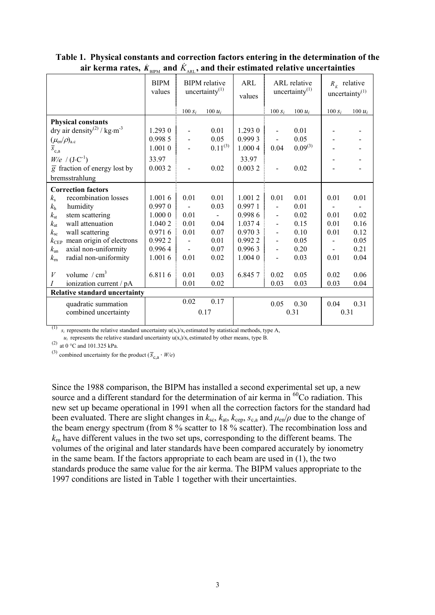|                                                     | BILM                  | AKL 4                                     |                          |               |                                   |              |                                             |           |
|-----------------------------------------------------|-----------------------|-------------------------------------------|--------------------------|---------------|-----------------------------------|--------------|---------------------------------------------|-----------|
|                                                     | <b>BIPM</b><br>values | <b>BIPM</b> relative<br>uncertainty $(1)$ |                          | ARL<br>values | ARL relative<br>uncertainty $(1)$ |              | $R_{\dot{k}}$ relative<br>uncertainty $(1)$ |           |
|                                                     |                       | $100 S_i$                                 | 100 $u_i$                |               | $100 S_i$                         | 100 $u_i$    | $100 S_i$                                   | 100 $u_i$ |
| <b>Physical constants</b>                           |                       |                                           |                          |               |                                   |              |                                             |           |
| dry air density <sup>(2)</sup> / kg·m <sup>-3</sup> | 1.293 0               | $\overline{a}$                            | 0.01                     | 1.293 0       | $\overline{a}$                    | 0.01         |                                             |           |
| $(\mu_{\rm en}/\rho)_{\rm a.c}$                     | 0.998 5               | $\overline{a}$                            | 0.05                     | 0.999 3       | $\overline{a}$                    | 0.05         |                                             |           |
| $\overline{s}_{c,a}$                                | 1.0010                |                                           | $0.11^{(3)}$             | 1.000 4       | 0.04                              | $0.09^{(3)}$ |                                             |           |
| $W/e / (J \cdot C^{-1})$                            | 33.97                 |                                           |                          | 33.97         |                                   |              |                                             |           |
| $\overline{g}$ fraction of energy lost by           | 0.0032                | $\overline{a}$                            | 0.02                     | 0.0032        | $\overline{a}$                    | 0.02         |                                             |           |
| bremsstrahlung                                      |                       |                                           |                          |               |                                   |              |                                             |           |
| <b>Correction factors</b>                           |                       |                                           |                          |               |                                   |              |                                             |           |
| recombination losses<br>$k_{\rm s}$                 | 1.0016                | 0.01                                      | 0.01                     | 1.0012        | 0.01                              | 0.01         | 0.01                                        | 0.01      |
| k <sub>h</sub><br>humidity                          | 0.9970                |                                           | 0.03                     | 0.9971        |                                   | 0.01         |                                             |           |
| $k_{\rm st}$<br>stem scattering                     | 1.000 0               | 0.01                                      | $\overline{\phantom{a}}$ | 0.9986        | $\overline{\phantom{a}}$          | 0.02         | 0.01                                        | 0.02      |
| wall attenuation<br>$k_{\rm at}$                    | 1.040 2               | 0.01                                      | 0.04                     | 1.0374        | $\frac{1}{2}$                     | 0.15         | 0.01                                        | 0.16      |
| $k_{\rm sc}$<br>wall scattering                     | 0.9716                | 0.01                                      | 0.07                     | 0.9703        | $\overline{a}$                    | 0.10         | 0.01                                        | 0.12      |
| mean origin of electrons<br>$k_{\rm CEP}$           | 0.9922                | $\overline{\phantom{0}}$                  | 0.01                     | 0.9922        | $\overline{a}$                    | 0.05         |                                             | 0.05      |
| $k_{\rm an}$<br>axial non-uniformity                | 0.9964                | $\frac{1}{2}$                             | 0.07                     | 0.9963        | $\overline{a}$                    | 0.20         |                                             | 0.21      |
| radial non-uniformity<br>$k_{\rm m}$                | 1.0016                | 0.01                                      | 0.02                     | 1.0040        | $\frac{1}{2}$                     | 0.03         | 0.01                                        | 0.04      |
|                                                     |                       |                                           |                          |               |                                   |              |                                             |           |
| volume $/cm3$<br>V                                  | 6.8116                | 0.01                                      | 0.03                     | 6.8457        | 0.02                              | 0.05         | 0.02                                        | 0.06      |
| ionization current / pA<br>Ι                        |                       | 0.01                                      | 0.02                     |               | 0.03                              | 0.03         | 0.03                                        | 0.04      |
| <b>Relative standard uncertainty</b>                |                       |                                           |                          |               |                                   |              |                                             |           |
| quadratic summation                                 |                       | 0.02                                      | 0.17                     |               | 0.05                              | 0.30         | 0.04                                        | 0.31      |
| combined uncertainty                                |                       |                                           | 0.17                     |               |                                   | 0.31         | 0.31                                        |           |
|                                                     |                       |                                           |                          |               |                                   |              |                                             |           |

**Table 1. Physical constants and correction factors entering in the determination of the** air kerma rates,  $\dot{K}_{\text{\tiny BIPM}}$  and  $\dot{K}_{\text{\tiny ARL}}$ , and their estimated relative uncertainties

<sup>(1)</sup>  $s_i$  represents the relative standard uncertainty  $u(x_i)/x_i$  estimated by statistical methods, type A,

 $u_i$  represents the relative standard uncertainty  $u(x_i)/x_i$  estimated by other means, type B.

(2) at 0  $^{\circ}$ C and 101.325 kPa.

(3) combined uncertainty for the product  $(\overline{S}_{c,a} \cdot W/e)$ 

Since the 1988 comparison, the BIPM has installed a second experimental set up, a new source and a different standard for the determination of air kerma in  ${}^{60}$ Co radiation. This new set up became operational in 1991 when all the correction factors for the standard had been evaluated. There are slight changes in  $k_{sc}$ ,  $k_{at}$ ,  $k_{cep}$ ,  $s_{c,a}$  and  $\mu_{en}/\rho$  due to the change of the beam energy spectrum (from 8 % scatter to 18 % scatter). The recombination loss and  $k<sub>m</sub>$  have different values in the two set ups, corresponding to the different beams. The volumes of the original and later standards have been compared accurately by ionometry in the same beam. If the factors appropriate to each beam are used in (1), the two standards produce the same value for the air kerma. The BIPM values appropriate to the 1997 conditions are listed in Table 1 together with their uncertainties.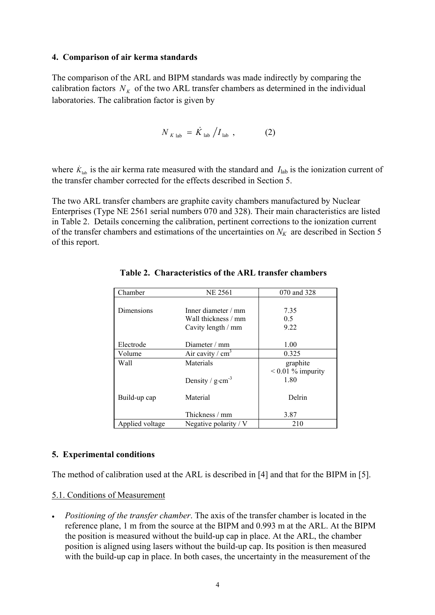#### **4. Comparison of air kerma standards**

The comparison of the ARL and BIPM standards was made indirectly by comparing the calibration factors  $N<sub>K</sub>$  of the two ARL transfer chambers as determined in the individual laboratories. The calibration factor is given by

$$
N_{K \text{ lab}} = \dot{K}_{\text{ lab}} / I_{\text{ lab}} \tag{2}
$$

where  $\dot{K}_{\text{lab}}$  is the air kerma rate measured with the standard and  $I_{\text{lab}}$  is the ionization current of the transfer chamber corrected for the effects described in Section 5.

The two ARL transfer chambers are graphite cavity chambers manufactured by Nuclear Enterprises (Type NE 2561 serial numbers 070 and 328). Their main characteristics are listed in Table 2. Details concerning the calibration, pertinent corrections to the ionization current of the transfer chambers and estimations of the uncertainties on  $N_K$  are described in Section 5 of this report.

| Chamber           | <b>NE 2561</b>                  | 070 and 328         |
|-------------------|---------------------------------|---------------------|
|                   |                                 |                     |
| <b>Dimensions</b> | Inner diameter $/mm$            | 7.35                |
|                   | Wall thickness / mm             | 0.5                 |
|                   | Cavity length / mm              | 9.22                |
|                   |                                 |                     |
| Electrode         | Diameter $/mm$                  | 1.00                |
| Volume            | Air cavity / $cm3$              | 0.325               |
| Wall              | Materials                       | graphite            |
|                   |                                 | $< 0.01$ % impurity |
|                   | Density / $g$ ·cm <sup>-3</sup> | 1.80                |
|                   |                                 |                     |
| Build-up cap      | Material                        | Delrin              |
|                   |                                 |                     |
|                   | Thickness / mm                  | 3.87                |
| Applied voltage   | Negative polarity / $V$         | 210                 |

**Table 2. Characteristics of the ARL transfer chambers**

### **5. Experimental conditions**

The method of calibration used at the ARL is described in [4] and that for the BIPM in [5].

### 5.1. Conditions of Measurement

• *Positioning of the transfer chamber*. The axis of the transfer chamber is located in the reference plane, 1 m from the source at the BIPM and 0.993 m at the ARL. At the BIPM the position is measured without the build-up cap in place. At the ARL, the chamber position is aligned using lasers without the build-up cap. Its position is then measured with the build-up cap in place. In both cases, the uncertainty in the measurement of the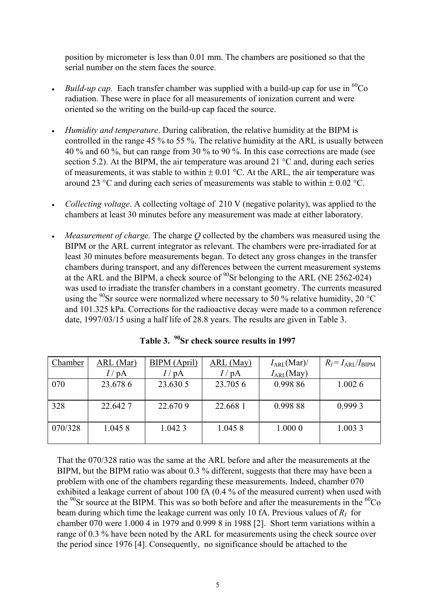position by micrometer is less than 0.01 mm. The chambers are positioned so that the serial number on the stem faces the source.

- *Build-up cap.* Each transfer chamber was supplied with a build-up cap for use in  ${}^{60}Co$ radiation. These were in place for all measurements of ionization current and were oriented so the writing on the build-up cap faced the source.
- *Humidity and temperature*. During calibration, the relative humidity at the BIPM is controlled in the range 45 % to 55 %. The relative humidity at the ARL is usually between 40 % and 60 %, but can range from 30 % to 90 %. In this case corrections are made (see section 5.2). At the BIPM, the air temperature was around 21 °C and, during each series of measurements, it was stable to within  $\pm$  0.01 °C. At the ARL, the air temperature was around 23 °C and during each series of measurements was stable to within  $\pm$  0.02 °C.
- *Collecting voltage*. A collecting voltage of 210 V (negative polarity), was applied to the chambers at least 30 minutes before any measurement was made at either laboratory.
- *Measurement of charge.* The charge *Q* collected by the chambers was measured using the BIPM or the ARL current integrator as relevant. The chambers were pre-irradiated for at least 30 minutes before measurements began. To detect any gross changes in the transfer chambers during transport, and any differences between the current measurement systems at the ARL and the BIPM, a check source of  $90$ Sr belonging to the ARL (NE 2562-024) was used to irradiate the transfer chambers in a constant geometry. The currents measured using the  $^{90}$ Sr source were normalized where necessary to 50 % relative humidity, 20 °C and 101.325 kPa. Corrections for the radioactive decay were made to a common reference date, 1997/03/15 using a half life of 28.8 years. The results are given in Table 3.

| Chamber | ARL (Mar)       | <b>BIPM</b> (April) | $ARL$ (May) | $I_{ARL}$ (Mar)/ | $R_I = I_{ARL}/I_{BIPM}$ |
|---------|-----------------|---------------------|-------------|------------------|--------------------------|
|         | $I/\mathrm{pA}$ | $I/\mathrm{pA}$     | $'$ pA      | $I_{ARL}(May)$   |                          |
| 070     | 23.678 6        | 23.630 5            | 23.705 6    | 0.998 86         | 1.0026                   |
|         |                 |                     |             |                  |                          |
| 328     | 22.642.7        | 22.6709             | 22.668 1    | 0.99888          | 0.9993                   |
|         |                 |                     |             |                  |                          |
| 070/328 | 1.0458          | 1.0423              | 1.0458      | 1.000 0          | 1.0033                   |
|         |                 |                     |             |                  |                          |

|  | Table 3. $^{90}\rm{Sr}$ check source results in 1997 |  |  |  |  |
|--|------------------------------------------------------|--|--|--|--|
|--|------------------------------------------------------|--|--|--|--|

That the 070/328 ratio was the same at the ARL before and after the measurements at the BIPM, but the BIPM ratio was about 0.3 % different, suggests that there may have been a problem with one of the chambers regarding these measurements. Indeed, chamber 070 exhibited a leakage current of about 100 fA (0.4 % of the measured current) when used with the  $90$ Sr source at the BIPM. This was so both before and after the measurements in the  $^{60}Co$ beam during which time the leakage current was only 10 fA. Previous values of  $R<sub>I</sub>$  for chamber 070 were 1.000 4 in 1979 and 0.999 8 in 1988 [2]. Short term variations within a range of 0.3 % have been noted by the ARL for measurements using the check source over the period since 1976 [4]. Consequently, no significance should be attached to the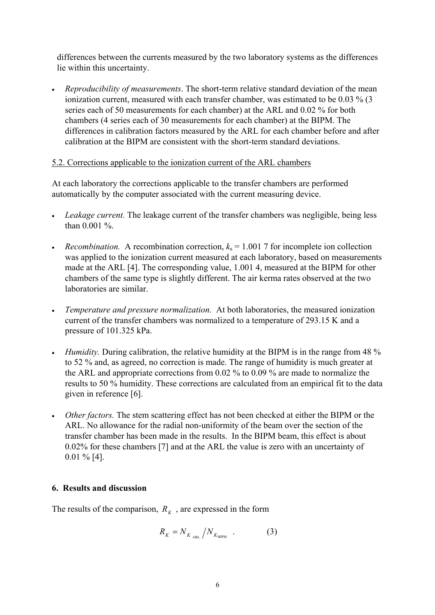differences between the currents measured by the two laboratory systems as the differences lie within this uncertainty.

• *Reproducibility of measurements*. The short-term relative standard deviation of the mean ionization current, measured with each transfer chamber, was estimated to be 0.03 % (3 series each of 50 measurements for each chamber) at the ARL and 0.02 % for both chambers (4 series each of 30 measurements for each chamber) at the BIPM. The differences in calibration factors measured by the ARL for each chamber before and after calibration at the BIPM are consistent with the short-term standard deviations.

## 5.2. Corrections applicable to the ionization current of the ARL chambers

At each laboratory the corrections applicable to the transfer chambers are performed automatically by the computer associated with the current measuring device.

- *Leakage current.* The leakage current of the transfer chambers was negligible, being less than 0.001 %.
- *Recombination.* A recombination correction,  $k_s = 1.001$  7 for incomplete ion collection was applied to the ionization current measured at each laboratory, based on measurements made at the ARL [4]. The corresponding value, 1.001 4, measured at the BIPM for other chambers of the same type is slightly different. The air kerma rates observed at the two laboratories are similar.
- *Temperature and pressure normalization.* At both laboratories, the measured ionization current of the transfer chambers was normalized to a temperature of 293.15 K and a pressure of 101.325 kPa.
- *Humidity.* During calibration, the relative humidity at the BIPM is in the range from 48 % to 52 % and, as agreed, no correction is made. The range of humidity is much greater at the ARL and appropriate corrections from 0.02 % to 0.09 % are made to normalize the results to 50 % humidity. These corrections are calculated from an empirical fit to the data given in reference [6].
- *Other factors.* The stem scattering effect has not been checked at either the BIPM or the ARL. No allowance for the radial non-uniformity of the beam over the section of the transfer chamber has been made in the results. In the BIPM beam, this effect is about 0.02% for these chambers [7] and at the ARL the value is zero with an uncertainty of 0.01 % [4].

## **6. Results and discussion**

The results of the comparison,  $R<sub>K</sub>$ , are expressed in the form

$$
R_K = N_{K_{\text{ARL}}}/N_{K_{\text{BIPM}}} \quad . \tag{3}
$$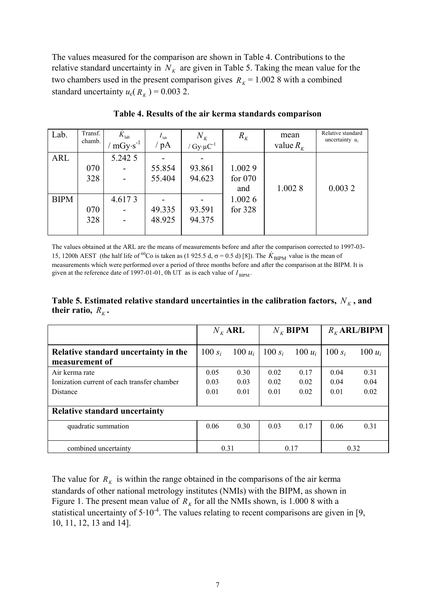The values measured for the comparison are shown in Table 4. Contributions to the relative standard uncertainty in  $N_K$  are given in Table 5. Taking the mean value for the two chambers used in the present comparison gives  $R_K = 1.0028$  with a combined standard uncertainty  $u_c(R_K) = 0.003$  2.

| Lab.        | Transf.<br>chamb. | $\dot{K}^{\,}_{\mathrm{lab}}$<br>$mGy \cdot s^{-1}$ | $I_{\text{lab}}$<br>pA | $N_{K}$<br>$/Gy \cdot \mu C^{-1}$ | $R_{K}$   | mean<br>value $R_{K}$ | Relative standard<br>uncertainty $u_c$ |
|-------------|-------------------|-----------------------------------------------------|------------------------|-----------------------------------|-----------|-----------------------|----------------------------------------|
| <b>ARL</b>  |                   | 5.242 5                                             |                        |                                   |           |                       |                                        |
|             | 070               |                                                     | 55.854                 | 93.861                            | 1.0029    |                       |                                        |
|             | 328               |                                                     | 55.404                 | 94.623                            | for $070$ |                       |                                        |
|             |                   |                                                     |                        |                                   | and       | 1.0028                | 0.0032                                 |
| <b>BIPM</b> |                   | 4.6173                                              |                        |                                   | 1.0026    |                       |                                        |
|             | 070               |                                                     | 49.335                 | 93.591                            | for 328   |                       |                                        |
|             | 328               |                                                     | 48.925                 | 94.375                            |           |                       |                                        |
|             |                   |                                                     |                        |                                   |           |                       |                                        |

#### **Table 4. Results of the air kerma standards comparison**

The values obtained at the ARL are the means of measurements before and after the comparison corrected to 1997-03- 15, 1200h AEST (the half life of <sup>60</sup>Co is taken as (1 925.5 d,  $\sigma$  = 0.5 d) [8]). The  $K_{\text{BIPM}}$  value is the mean of measurements which were performed over a period of three months before and after the comparison at the BIPM. It is given at the reference date of 1997-01-01,  $0h$  UT as is each value of  $I_{\text{RIPM}}$ .

Table 5. Estimated relative standard uncertainties in the calibration factors,  $N_K$ , and **their ratio,**  $R_K$ .

|                                                                                  | $N_{K}$ ARL          |                      | $N_{K}$ BIPM         |                      | $R_{K}$ ARL/BIPM     |                      |
|----------------------------------------------------------------------------------|----------------------|----------------------|----------------------|----------------------|----------------------|----------------------|
| Relative standard uncertainty in the<br>measurement of                           | 100 $s_i$            | 100 $u_i$            | $100 s_i$            | 100 $u_i$            | $100 s_i$            | $100 u_i$            |
| Air kerma rate<br>Ionization current of each transfer chamber<br><b>Distance</b> | 0.05<br>0.03<br>0.01 | 0.30<br>0.03<br>0.01 | 0.02<br>0.02<br>0.01 | 0.17<br>0.02<br>0.02 | 0.04<br>0.04<br>0.01 | 0.31<br>0.04<br>0.02 |
| <b>Relative standard uncertainty</b>                                             |                      |                      |                      |                      |                      |                      |
| quadratic summation                                                              | 0.06                 | 0.30                 | 0.03                 | 0.17                 | 0.06                 | 0.31                 |
| combined uncertainty                                                             | 0.31                 |                      | 0.17                 |                      | 0.32                 |                      |

The value for  $R_K$  is within the range obtained in the comparisons of the air kerma standards of other national metrology institutes (NMIs) with the BIPM, as shown in Figure 1. The present mean value of  $R<sub>K</sub>$  for all the NMIs shown, is 1.000 8 with a statistical uncertainty of  $5.10^{-4}$ . The values relating to recent comparisons are given in [9, 10, 11, 12, 13 and 14].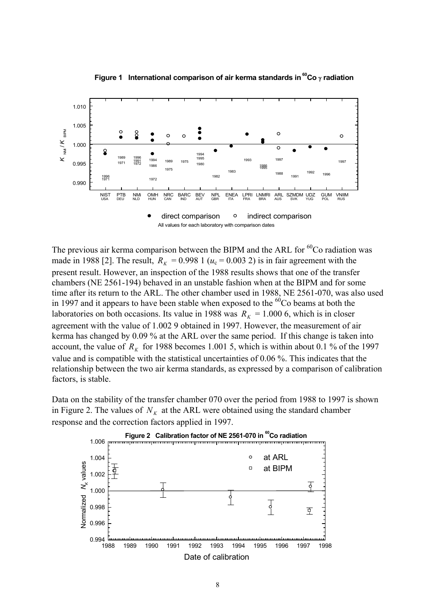

**Figure 1 International comparison of air kerma standards in 60Co** γ **radiation**

The previous air kerma comparison between the BIPM and the ARL for  ${}^{60}Co$  radiation was made in 1988 [2]. The result,  $R_K = 0.998$  1 ( $u_c = 0.003$  2) is in fair agreement with the present result. However, an inspection of the 1988 results shows that one of the transfer chambers (NE 2561-194) behaved in an unstable fashion when at the BIPM and for some time after its return to the ARL. The other chamber used in 1988, NE 2561-070, was also used in 1997 and it appears to have been stable when exposed to the  $60^{\circ}$ Co beams at both the laboratories on both occasions. Its value in 1988 was  $R_K = 1.000$  6, which is in closer agreement with the value of 1.002 9 obtained in 1997. However, the measurement of air kerma has changed by 0.09 % at the ARL over the same period. If this change is taken into account, the value of  $R_k$  for 1988 becomes 1.001 5, which is within about 0.1 % of the 1997 value and is compatible with the statistical uncertainties of 0.06 %. This indicates that the relationship between the two air kerma standards, as expressed by a comparison of calibration factors, is stable.

Data on the stability of the transfer chamber 070 over the period from 1988 to 1997 is shown in Figure 2. The values of  $N<sub>K</sub>$  at the ARL were obtained using the standard chamber response and the correction factors applied in 1997.

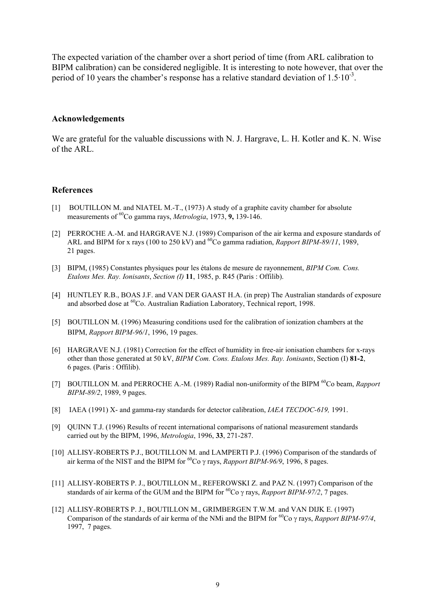The expected variation of the chamber over a short period of time (from ARL calibration to BIPM calibration) can be considered negligible. It is interesting to note however, that over the period of 10 years the chamber's response has a relative standard deviation of  $1.5 \cdot 10^{-3}$ .

#### **Acknowledgements**

We are grateful for the valuable discussions with N. J. Hargrave, L. H. Kotler and K. N. Wise of the ARL.

#### **References**

- [1] BOUTILLON M. and NIATEL M.-T., (1973) A study of a graphite cavity chamber for absolute measurements of 60Co gamma rays, *Metrologia*, 1973, **9,** 139-146.
- [2] PERROCHE A.-M. and HARGRAVE N.J. (1989) Comparison of the air kerma and exposure standards of ARL and BIPM for x rays (100 to 250 kV) and <sup>60</sup>Co gamma radiation, *Rapport BIPM-89/11*, 1989, 21 pages.
- [3] BIPM, (1985) Constantes physiques pour les étalons de mesure de rayonnement, *BIPM Com. Cons. Etalons Mes. Ray. Ionisants*, *Section (I)* **11**, 1985, p. R45 (Paris : Offilib).
- [4] HUNTLEY R.B., BOAS J.F. and VAN DER GAAST H.A. (in prep) The Australian standards of exposure and absorbed dose at <sup>60</sup>Co. Australian Radiation Laboratory, Technical report, 1998.
- [5] BOUTILLON M. (1996) Measuring conditions used for the calibration of ionization chambers at the BIPM, *Rapport BIPM-96/1*, 1996, 19 pages.
- [6] HARGRAVE N.J. (1981) Correction for the effect of humidity in free-air ionisation chambers for x-rays other than those generated at 50 kV, *BIPM Com. Cons. Etalons Mes. Ray. Ionisants*, Section (I) **81-2**, 6 pages. (Paris : Offilib).
- [7] BOUTILLON M. and PERROCHE A.-M. (1989) Radial non-uniformity of the BIPM <sup>60</sup>Co beam, *Rapport BIPM-89/2*, 1989, 9 pages.
- [8] IAEA (1991) X- and gamma-ray standards for detector calibration, *IAEA TECDOC-619,* 1991.
- [9] QUINN T.J. (1996) Results of recent international comparisons of national measurement standards carried out by the BIPM, 1996, *Metrologia*, 1996, **33**, 271-287.
- [10] ALLISY-ROBERTS P.J., BOUTILLON M. and LAMPERTI P.J. (1996) Comparison of the standards of air kerma of the NIST and the BIPM for 60Co γ rays, *Rapport BIPM-96/9*, 1996, 8 pages.
- [11] ALLISY-ROBERTS P. J., BOUTILLON M., REFEROWSKI Z. and PAZ N. (1997) Comparison of the standards of air kerma of the GUM and the BIPM for <sup>60</sup>Co γ rays, *Rapport BIPM-97/2*, 7 pages.
- [12] ALLISY-ROBERTS P. J., BOUTILLON M., GRIMBERGEN T.W.M. and VAN DIJK E. (1997) Comparison of the standards of air kerma of the NMi and the BIPM for 60Co γ rays, *Rapport BIPM-97/4*, 1997, 7 pages.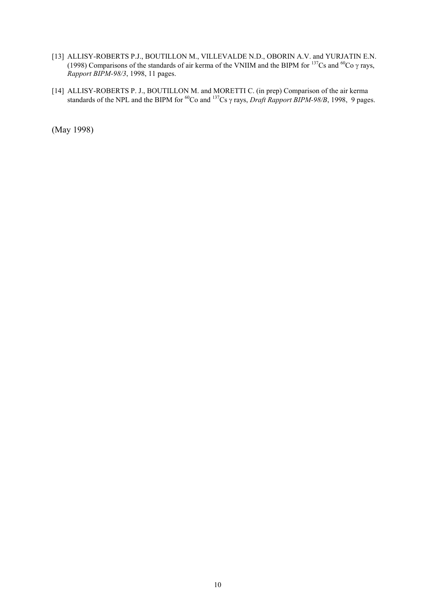- [13] ALLISY-ROBERTS P.J., BOUTILLON M., VILLEVALDE N.D., OBORIN A.V. and YURJATIN E.N. (1998) Comparisons of the standards of air kerma of the VNIIM and the BIPM for  $^{137}Cs$  and  $^{60}Co$   $\gamma$  rays, *Rapport BIPM-98/3*, 1998, 11 pages.
- [14] ALLISY-ROBERTS P. J., BOUTILLON M. and MORETTI C. (in prep) Comparison of the air kerma standards of the NPL and the BIPM for 60Co and 137Cs γ rays, *Draft Rapport BIPM-98/B*, 1998, 9 pages.

(May 1998)